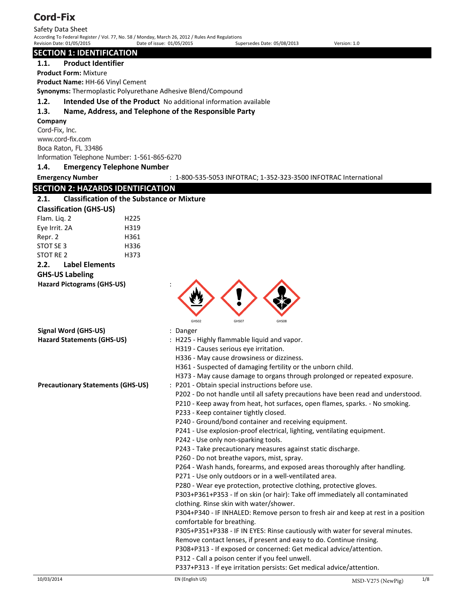Safety Data Sheet According To Federal Register / Vol. 77, No. 58 / Monday, March 26, 2012 / Rules And Regulations Revision Date: 01/05/2015 Date of issue: 01/05/2015 Supersedes Date: 05/08/2013 Version: 1.0

### **SECTION 1: IDENTIFICATION**

#### **1.1. Product Identifier**

**Product Form:** Mixture

**Product Name:** HH-66 Vinyl Cement

**Synonyms:** Thermoplastic Polyurethane Adhesive Blend/Compound

**1.2. Intended Use of the Product** No additional information available

### **1.3. Name, Address, and Telephone of the Responsible Party**

#### **Company**

Cord-Fix, Inc. www.cord-fix.com Boca Raton, FL 33486 Information Telephone Number: 1-561-865-6270

#### **1.4. Emergency Telephone Number**

**Emergency Number** : 1-800-535-5053 INFOTRAC; 1-352-323-3500 INFOTRAC International

# **SECTION 2: HAZARDS IDENTIFICATION**

#### **2.1. Classification of the Substance or Mixture**

| <b>Classification (GHS-US)</b> |                       |                  |  |
|--------------------------------|-----------------------|------------------|--|
| Flam. Lig. 2                   |                       | H <sub>225</sub> |  |
| Eye Irrit. 2A                  |                       | H319             |  |
| Repr. 2                        |                       | H361             |  |
| STOT SE 3                      |                       | H336             |  |
| STOT RE 2                      |                       | H373             |  |
| 2.2.                           | <b>Label Elements</b> |                  |  |

# **GHS-US Labeling**

**Hazard Pictograms (GHS-US)** :



# **Signal Word (GHS-US)** : Danger

- 
- **Hazard Statements (GHS-US)** : H225 Highly flammable liquid and vapor.
	- H319 Causes serious eye irritation.
	- H336 May cause drowsiness or dizziness.
	- H361 Suspected of damaging fertility or the unborn child.
	- H373 May cause damage to organs through prolonged or repeated exposure.
- **Precautionary Statements (GHS-US)** : P201 Obtain special instructions before use.
	- P202 Do not handle until all safety precautions have been read and understood.
	- P210 Keep away from heat, hot surfaces, open flames, sparks. No smoking.
	- P233 Keep container tightly closed.
	- P240 Ground/bond container and receiving equipment.
	- P241 Use explosion-proof electrical, lighting, ventilating equipment.
	- P242 Use only non-sparking tools.
	- P243 Take precautionary measures against static discharge.
	- P260 Do not breathe vapors, mist, spray.
	- P264 Wash hands, forearms, and exposed areas thoroughly after handling.
	- P271 Use only outdoors or in a well-ventilated area.
	- P280 Wear eye protection, protective clothing, protective gloves.

P303+P361+P353 - If on skin (or hair): Take off immediately all contaminated clothing. Rinse skin with water/shower.

P304+P340 - IF INHALED: Remove person to fresh air and keep at rest in a position comfortable for breathing.

P305+P351+P338 - IF IN EYES: Rinse cautiously with water for several minutes. Remove contact lenses, if present and easy to do. Continue rinsing.

P308+P313 - If exposed or concerned: Get medical advice/attention.

P312 - Call a poison center if you feel unwell.

P337+P313 - If eye irritation persists: Get medical advice/attention.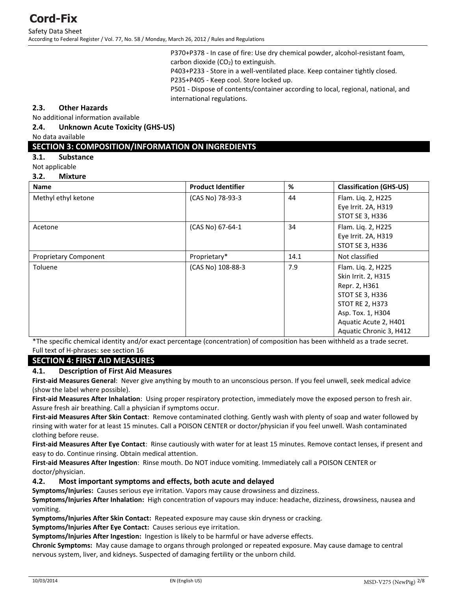Safety Data Sheet According to Federal Register / Vol. 77, No. 58 / Monday, March 26, 2012 / Rules and Regulations

> P370+P378 - In case of fire: Use dry chemical powder, alcohol-resistant foam, carbon dioxide  $(CO<sub>2</sub>)$  to extinguish.

P403+P233 - Store in a well-ventilated place. Keep container tightly closed.

P235+P405 - Keep cool. Store locked up.

P501 - Dispose of contents/container according to local, regional, national, and international regulations.

#### **2.3. Other Hazards**

No additional information available

#### **2.4. Unknown Acute Toxicity (GHS-US)**

No data available

### **SECTION 3: COMPOSITION/INFORMATION ON INGREDIENTS**

**3.1. Substance** 

Not applicable

#### **3.2. Mixture**

| <b>Name</b>                  | <b>Product Identifier</b> | %    | <b>Classification (GHS-US)</b>                                                                                                                                            |
|------------------------------|---------------------------|------|---------------------------------------------------------------------------------------------------------------------------------------------------------------------------|
| Methyl ethyl ketone          | (CAS No) 78-93-3          | 44   | Flam. Liq. 2, H225<br>Eye Irrit. 2A, H319<br>STOT SE 3, H336                                                                                                              |
| Acetone                      | (CAS No) 67-64-1          | 34   | Flam. Liq. 2, H225<br>Eye Irrit. 2A, H319<br>STOT SE 3, H336                                                                                                              |
| <b>Proprietary Component</b> | Proprietary*              | 14.1 | Not classified                                                                                                                                                            |
| Toluene                      | (CAS No) 108-88-3         | 7.9  | Flam. Liq. 2, H225<br>Skin Irrit. 2, H315<br>Repr. 2, H361<br>STOT SE 3, H336<br>STOT RE 2, H373<br>Asp. Tox. 1, H304<br>Aquatic Acute 2, H401<br>Aquatic Chronic 3, H412 |

\*The specific chemical identity and/or exact percentage (concentration) of composition has been withheld as a trade secret. Full text of H-phrases: see section 16

#### **SECTION 4: FIRST AID MEASURES**

#### **4.1. Description of First Aid Measures**

**First-aid Measures General**: Never give anything by mouth to an unconscious person. If you feel unwell, seek medical advice (show the label where possible).

**First-aid Measures After Inhalation**: Using proper respiratory protection, immediately move the exposed person to fresh air. Assure fresh air breathing. Call a physician if symptoms occur.

**First-aid Measures After Skin Contact**: Remove contaminated clothing. Gently wash with plenty of soap and water followed by rinsing with water for at least 15 minutes. Call a POISON CENTER or doctor/physician if you feel unwell. Wash contaminated clothing before reuse.

**First-aid Measures After Eye Contact**: Rinse cautiously with water for at least 15 minutes. Remove contact lenses, if present and easy to do. Continue rinsing. Obtain medical attention.

**First-aid Measures After Ingestion**: Rinse mouth. Do NOT induce vomiting. Immediately call a POISON CENTER or doctor/physician.

#### **4.2. Most important symptoms and effects, both acute and delayed**

**Symptoms/Injuries:** Causes serious eye irritation. Vapors may cause drowsiness and dizziness.

**Symptoms/Injuries After Inhalation:** High concentration of vapours may induce: headache, dizziness, drowsiness, nausea and vomiting.

**Symptoms/Injuries After Skin Contact:** Repeated exposure may cause skin dryness or cracking.

**Symptoms/Injuries After Eye Contact:** Causes serious eye irritation.

**Symptoms/Injuries After Ingestion:** Ingestion is likely to be harmful or have adverse effects.

**Chronic Symptoms:** May cause damage to organs through prolonged or repeated exposure. May cause damage to central nervous system, liver, and kidneys. Suspected of damaging fertility or the unborn child.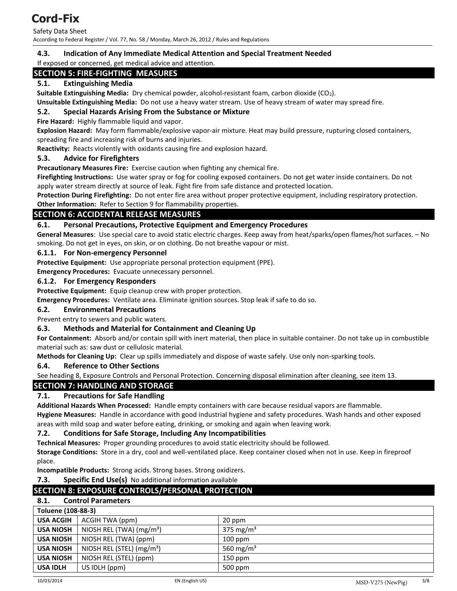Safety Data Sheet According to Federal Register / Vol. 77, No. 58 / Monday, March 26, 2012 / Rules and Regulations

### **4.3. Indication of Any Immediate Medical Attention and Special Treatment Needed**

If exposed or concerned, get medical advice and attention.

## **SECTION 5: FIRE-FIGHTING MEASURES**

### **5.1. Extinguishing Media**

**Suitable Extinguishing Media:** Dry chemical powder, alcohol-resistant foam, carbon dioxide (CO2).

**Unsuitable Extinguishing Media:** Do not use a heavy water stream. Use of heavy stream of water may spread fire.

#### **5.2. Special Hazards Arising From the Substance or Mixture**

**Fire Hazard:** Highly flammable liquid and vapor.

**Explosion Hazard:** May form flammable/explosive vapor-air mixture. Heat may build pressure, rupturing closed containers, spreading fire and increasing risk of burns and injuries.

**Reactivity:** Reacts violently with oxidants causing fire and explosion hazard.

#### **5.3. Advice for Firefighters**

**Precautionary Measures Fire:** Exercise caution when fighting any chemical fire.

**Firefighting Instructions:** Use water spray or fog for cooling exposed containers. Do not get water inside containers. Do not apply water stream directly at source of leak. Fight fire from safe distance and protected location.

**Protection During Firefighting:** Do not enter fire area without proper protective equipment, including respiratory protection. **Other Information:** Refer to Section 9 for flammability properties.

### **SECTION 6: ACCIDENTAL RELEASE MEASURES**

#### **6.1. Personal Precautions, Protective Equipment and Emergency Procedures**

**General Measures**: Use special care to avoid static electric charges. Keep away from heat/sparks/open flames/hot surfaces. – No smoking. Do not get in eyes, on skin, or on clothing. Do not breathe vapour or mist.

#### **6.1.1. For Non-emergency Personnel**

**Protective Equipment:** Use appropriate personal protection equipment (PPE).

**Emergency Procedures:** Evacuate unnecessary personnel.

#### **6.1.2. For Emergency Responders**

**Protective Equipment:** Equip cleanup crew with proper protection.

**Emergency Procedures:** Ventilate area. Eliminate ignition sources. Stop leak if safe to do so.

#### **6.2. Environmental Precautions**

Prevent entry to sewers and public waters.

#### **6.3. Methods and Material for Containment and Cleaning Up**

**For Containment:** Absorb and/or contain spill with inert material, then place in suitable container. Do not take up in combustible material such as: saw dust or cellulosic material.

**Methods for Cleaning Up:** Clear up spills immediately and dispose of waste safely. Use only non-sparking tools.

#### **6.4. Reference to Other Sections**

See heading 8, Exposure Controls and Personal Protection. Concerning disposal elimination after cleaning, see item 13.

#### **SECTION 7: HANDLING AND STORAGE**

#### **7.1. Precautions for Safe Handling**

**Additional Hazards When Processed:** Handle empty containers with care because residual vapors are flammable. **Hygiene Measures:** Handle in accordance with good industrial hygiene and safety procedures. Wash hands and other exposed areas with mild soap and water before eating, drinking, or smoking and again when leaving work.

#### **7.2. Conditions for Safe Storage, Including Any Incompatibilities**

**Technical Measures:** Proper grounding procedures to avoid static electricity should be followed.

**Storage Conditions:** Store in a dry, cool and well-ventilated place. Keep container closed when not in use. Keep in fireproof place.

**Incompatible Products:** Strong acids. Strong bases. Strong oxidizers.

**7.3. Specific End Use(s)** No additional information available

#### **SECTION 8: EXPOSURE CONTROLS/PERSONAL PROTECTION**

#### **8.1. Control Parameters**

| <b>Toluene (108-88-3)</b> |                                       |                       |
|---------------------------|---------------------------------------|-----------------------|
| <b>USA ACGIH</b>          | ACGIH TWA (ppm)                       | 20 ppm                |
| <b>USA NIOSH</b>          | NIOSH REL (TWA) $(mg/m3)$             | 375 mg/m <sup>3</sup> |
| <b>USA NIOSH</b>          | NIOSH REL (TWA) (ppm)                 | $100$ ppm             |
| <b>USA NIOSH</b>          | NIOSH REL (STEL) (mg/m <sup>3</sup> ) | 560 mg/m <sup>3</sup> |
| <b>USA NIOSH</b>          | NIOSH REL (STEL) (ppm)                | $150$ ppm             |
| <b>USA IDLH</b>           | US IDLH (ppm)                         | 500 ppm               |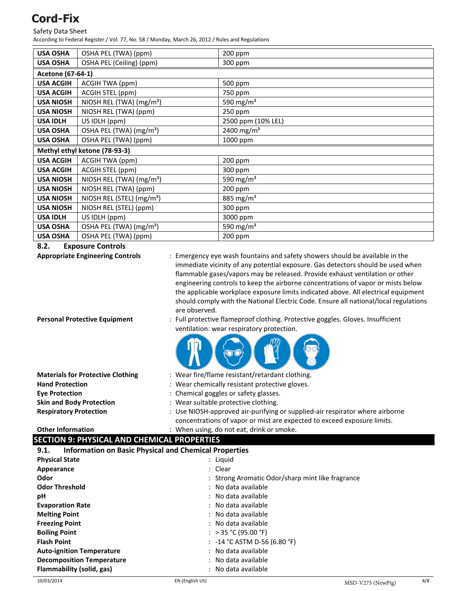#### Safety Data Sheet

According to Federal Register / Vol. 77, No. 58 / Monday, March 26, 2012 / Rules and Regulations

| <b>USA OSHA</b>  | OSHA PEL (TWA) (ppm)                  | 200 ppm                |  |  |
|------------------|---------------------------------------|------------------------|--|--|
| <b>USA OSHA</b>  | OSHA PEL (Ceiling) (ppm)              | 300 ppm                |  |  |
|                  | Acetone (67-64-1)                     |                        |  |  |
| <b>USA ACGIH</b> | ACGIH TWA (ppm)                       | 500 ppm                |  |  |
| <b>USA ACGIH</b> | ACGIH STEL (ppm)                      | 750 ppm                |  |  |
| <b>USA NIOSH</b> | NIOSH REL (TWA) (mg/m <sup>3</sup> )  | 590 mg/m <sup>3</sup>  |  |  |
| <b>USA NIOSH</b> | NIOSH REL (TWA) (ppm)                 | 250 ppm                |  |  |
| <b>USA IDLH</b>  | US IDLH (ppm)                         | 2500 ppm (10% LEL)     |  |  |
| <b>USA OSHA</b>  | OSHA PEL (TWA) (mg/m <sup>3</sup> )   | 2400 mg/m <sup>3</sup> |  |  |
| <b>USA OSHA</b>  | OSHA PEL (TWA) (ppm)                  | 1000 ppm               |  |  |
|                  | Methyl ethyl ketone (78-93-3)         |                        |  |  |
| <b>USA ACGIH</b> | ACGIH TWA (ppm)                       | 200 ppm                |  |  |
| <b>USA ACGIH</b> | ACGIH STEL (ppm)                      | 300 ppm                |  |  |
| <b>USA NIOSH</b> | NIOSH REL (TWA) $(mg/m3)$             | 590 mg/m <sup>3</sup>  |  |  |
| <b>USA NIOSH</b> | NIOSH REL (TWA) (ppm)                 | 200 ppm                |  |  |
| <b>USA NIOSH</b> | NIOSH REL (STEL) (mg/m <sup>3</sup> ) | 885 mg/m <sup>3</sup>  |  |  |
| <b>USA NIOSH</b> | NIOSH REL (STEL) (ppm)                | 300 ppm                |  |  |
| <b>USA IDLH</b>  | US IDLH (ppm)                         | 3000 ppm               |  |  |
| <b>USA OSHA</b>  | OSHA PEL (TWA) (mg/m <sup>3</sup> )   | 590 mg/m <sup>3</sup>  |  |  |
| <b>USA OSHA</b>  | OSHA PEL (TWA) (ppm)                  | 200 ppm                |  |  |

**8.2. Exposure Controls** 

**Appropriate Engineering Controls** : Emergency eye wash fountains and safety showers should be available in the immediate vicinity of any potential exposure. Gas detectors should be used when flammable gases/vapors may be released. Provide exhaust ventilation or other engineering controls to keep the airborne concentrations of vapor or mists below the applicable workplace exposure limits indicated above. All electrical equipment should comply with the National Electric Code. Ensure all national/local regulations are observed. **Personal Protective Equipment** : Full protective flameproof clothing. Protective goggles. Gloves. Insufficient ventilation: wear respiratory protection.

| <b>Materials for Protective Clothing</b> | : Wear fire/flame resistant/retardant clothing.                                                                                                         |
|------------------------------------------|---------------------------------------------------------------------------------------------------------------------------------------------------------|
| <b>Hand Protection</b>                   | : Wear chemically resistant protective gloves.                                                                                                          |
| <b>Eve Protection</b>                    | : Chemical goggles or safety glasses.                                                                                                                   |
| <b>Skin and Body Protection</b>          | : Wear suitable protective clothing.                                                                                                                    |
| <b>Respiratory Protection</b>            | : Use NIOSH-approved air-purifying or supplied-air respirator where airborne<br>concentrations of vapor or mist are expected to exceed exposure limits. |

#### **Other Information** : When using, do not eat, drink or smoke.

#### **SECTION 9: PHYSICAL AND CHEMICAL PROPERTIES**

| <b>Information on Basic Physical and Chemical Properties</b><br>9.1. |                                                  |
|----------------------------------------------------------------------|--------------------------------------------------|
| <b>Physical State</b>                                                | : Liquid                                         |
| Appearance                                                           | : Clear                                          |
| Odor                                                                 | : Strong Aromatic Odor/sharp mint like fragrance |
| <b>Odor Threshold</b>                                                | : No data available                              |
| рH                                                                   | : No data available                              |
| <b>Evaporation Rate</b>                                              | : No data available                              |
| <b>Melting Point</b>                                                 | : No data available                              |
| <b>Freezing Point</b>                                                | : No data available                              |
| <b>Boiling Point</b>                                                 | : > 35 °C (95.00 °F)                             |
| <b>Flash Point</b>                                                   | : $-14$ °C ASTM D-56 (6.80 °F)                   |
| <b>Auto-ignition Temperature</b>                                     | : No data available                              |
| <b>Decomposition Temperature</b>                                     | : No data available                              |
| Flammability (solid, gas)                                            | : No data available                              |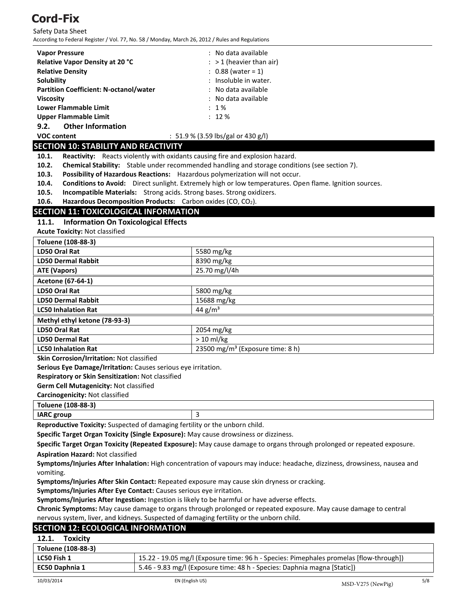Safety Data Sheet According to Federal Register / Vol. 77, No. 58 / Monday, March 26, 2012 / Rules and Regulations

| <b>Vapor Pressure</b>                         | : No data available                |
|-----------------------------------------------|------------------------------------|
| <b>Relative Vapor Density at 20 °C</b>        | $:$ > 1 (heavier than air)         |
| <b>Relative Density</b>                       | $: 0.88$ (water = 1)               |
| Solubility                                    | : Insoluble in water.              |
| <b>Partition Coefficient: N-octanol/water</b> | : No data available                |
| <b>Viscosity</b>                              | : No data available                |
| Lower Flammable Limit                         | $: 1\%$                            |
| Upper Flammable Limit                         | $: 12 \%$                          |
| <b>Other Information</b><br>9.2.              |                                    |
| <b>VOC content</b>                            | : 51.9 % (3.59 lbs/gal or 430 g/l) |

#### **SECTION 10: STABILITY AND REACTIVITY**

**10.1. Reactivity:** Reacts violently with oxidants causing fire and explosion hazard.

- **10.2. Chemical Stability:** Stable under recommended handling and storage conditions (see section 7).
- **10.3. Possibility of Hazardous Reactions:** Hazardous polymerization will not occur.
- **10.4. Conditions to Avoid:** Direct sunlight. Extremely high or low temperatures. Open flame. Ignition sources.
- **10.5. Incompatible Materials:** Strong acids. Strong bases. Strong oxidizers.

**10.6.** Hazardous Decomposition Products: Carbon oxides (CO, CO<sub>2</sub>).

### **SECTION 11: TOXICOLOGICAL INFORMATION**

#### **11.1. Information On Toxicological Effects**

**Acute Toxicity:** Not classified

| Toluene (108-88-3)            |                                              |  |
|-------------------------------|----------------------------------------------|--|
| LD50 Oral Rat                 | 5580 mg/kg                                   |  |
| <b>LD50 Dermal Rabbit</b>     | 8390 mg/kg                                   |  |
| ATE (Vapors)                  | 25.70 mg/l/4h                                |  |
| Acetone (67-64-1)             |                                              |  |
| LD50 Oral Rat                 | 5800 mg/kg                                   |  |
| <b>LD50 Dermal Rabbit</b>     | 15688 mg/kg                                  |  |
| <b>LC50 Inhalation Rat</b>    | 44 $g/m3$                                    |  |
| Methyl ethyl ketone (78-93-3) |                                              |  |
| LD50 Oral Rat                 | 2054 mg/kg                                   |  |
| <b>LD50 Dermal Rat</b>        | $> 10$ ml/kg                                 |  |
| <b>LC50 Inhalation Rat</b>    | 23500 mg/m <sup>3</sup> (Exposure time: 8 h) |  |

**Skin Corrosion/Irritation:** Not classified

**Serious Eye Damage/Irritation:** Causes serious eye irritation.

**Respiratory or Skin Sensitization:** Not classified

**Germ Cell Mutagenicity:** Not classified

**Carcinogenicity:** Not classified

**Toluene (108-88-3)**

| <b>IARC</b> group |  |
|-------------------|--|
|                   |  |

**Reproductive Toxicity:** Suspected of damaging fertility or the unborn child.

**Specific Target Organ Toxicity (Single Exposure):** May cause drowsiness or dizziness.

**Specific Target Organ Toxicity (Repeated Exposure):** May cause damage to organs through prolonged or repeated exposure.

**Aspiration Hazard:** Not classified

**Symptoms/Injuries After Inhalation:** High concentration of vapours may induce: headache, dizziness, drowsiness, nausea and vomiting.

**Symptoms/Injuries After Skin Contact:** Repeated exposure may cause skin dryness or cracking.

**Symptoms/Injuries After Eye Contact:** Causes serious eye irritation.

**Symptoms/Injuries After Ingestion:** Ingestion is likely to be harmful or have adverse effects.

**Chronic Symptoms:** May cause damage to organs through prolonged or repeated exposure. May cause damage to central nervous system, liver, and kidneys. Suspected of damaging fertility or the unborn child.

#### **SECTION 12: ECOLOGICAL INFORMATION**

| <b>Toxicity</b><br>12.1.                                                                          |                                                                                         |
|---------------------------------------------------------------------------------------------------|-----------------------------------------------------------------------------------------|
| Toluene (108-88-3)                                                                                |                                                                                         |
| LC50 Fish 1                                                                                       | [15.22 - 19.05 mg/l (Exposure time: 96 h - Species: Pimephales promelas [flow-through]) |
| 5.46 - 9.83 mg/l (Exposure time: 48 h - Species: Daphnia magna [Static])<br><b>EC50 Daphnia 1</b> |                                                                                         |
|                                                                                                   |                                                                                         |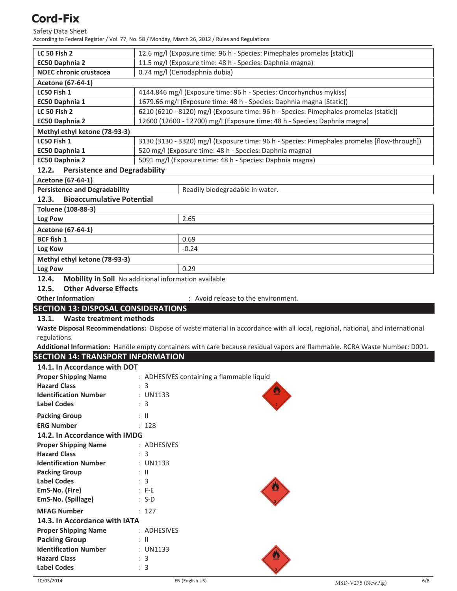# Safety Data Sheet

According to Federal Register / Vol. 77, No. 58 / Monday, March 26, 2012 / Rules and Regulations

| <b>LC 50 Fish 2</b>                                             | 12.6 mg/l (Exposure time: 96 h - Species: Pimephales promelas [static])                                                       |  |  |
|-----------------------------------------------------------------|-------------------------------------------------------------------------------------------------------------------------------|--|--|
| EC50 Daphnia 2                                                  | 11.5 mg/l (Exposure time: 48 h - Species: Daphnia magna)                                                                      |  |  |
|                                                                 |                                                                                                                               |  |  |
| <b>NOEC chronic crustacea</b><br>0.74 mg/l (Ceriodaphnia dubia) |                                                                                                                               |  |  |
| Acetone (67-64-1)                                               |                                                                                                                               |  |  |
| LC50 Fish 1                                                     | 4144.846 mg/l (Exposure time: 96 h - Species: Oncorhynchus mykiss)                                                            |  |  |
| EC50 Daphnia 1                                                  | 1679.66 mg/l (Exposure time: 48 h - Species: Daphnia magna [Static])                                                          |  |  |
| <b>LC 50 Fish 2</b>                                             | 6210 (6210 - 8120) mg/l (Exposure time: 96 h - Species: Pimephales promelas [static])                                         |  |  |
| EC50 Daphnia 2                                                  | 12600 (12600 - 12700) mg/l (Exposure time: 48 h - Species: Daphnia magna)                                                     |  |  |
| Methyl ethyl ketone (78-93-3)                                   |                                                                                                                               |  |  |
| LC50 Fish 1                                                     | 3130 (3130 - 3320) mg/l (Exposure time: 96 h - Species: Pimephales promelas [flow-through])                                   |  |  |
| EC50 Daphnia 1                                                  | 520 mg/l (Exposure time: 48 h - Species: Daphnia magna)                                                                       |  |  |
| <b>EC50 Daphnia 2</b>                                           | 5091 mg/l (Exposure time: 48 h - Species: Daphnia magna)                                                                      |  |  |
| 12.2.<br><b>Persistence and Degradability</b>                   |                                                                                                                               |  |  |
| Acetone (67-64-1)                                               |                                                                                                                               |  |  |
| <b>Persistence and Degradability</b>                            | Readily biodegradable in water.                                                                                               |  |  |
| <b>Bioaccumulative Potential</b><br>12.3.                       |                                                                                                                               |  |  |
| Toluene (108-88-3)                                              |                                                                                                                               |  |  |
| Log Pow                                                         | 2.65                                                                                                                          |  |  |
|                                                                 |                                                                                                                               |  |  |
| Acetone (67-64-1)                                               |                                                                                                                               |  |  |
| <b>BCF fish 1</b>                                               | 0.69                                                                                                                          |  |  |
| Log Kow                                                         | $-0.24$                                                                                                                       |  |  |
| Methyl ethyl ketone (78-93-3)                                   |                                                                                                                               |  |  |
| Log Pow                                                         | 0.29                                                                                                                          |  |  |
| 12.4.                                                           | Mobility in Soil No additional information available                                                                          |  |  |
| <b>Other Adverse Effects</b><br>12.5.                           |                                                                                                                               |  |  |
| <b>Other Information</b>                                        | : Avoid release to the environment.                                                                                           |  |  |
|                                                                 |                                                                                                                               |  |  |
| <b>SECTION 13: DISPOSAL CONSIDERATIONS</b>                      |                                                                                                                               |  |  |
| 13.1.                                                           |                                                                                                                               |  |  |
| <b>Waste treatment methods</b>                                  |                                                                                                                               |  |  |
|                                                                 | Waste Disposal Recommendations: Dispose of waste material in accordance with all local, regional, national, and international |  |  |
| regulations.                                                    |                                                                                                                               |  |  |
|                                                                 | Additional Information: Handle empty containers with care because residual vapors are flammable. RCRA Waste Number: D001.     |  |  |
| <b>SECTION 14: TRANSPORT INFORMATION</b>                        |                                                                                                                               |  |  |
| 14.1. In Accordance with DOT                                    |                                                                                                                               |  |  |
| <b>Proper Shipping Name</b>                                     | : ADHESIVES containing a flammable liquid                                                                                     |  |  |
| <b>Hazard Class</b>                                             | : 3                                                                                                                           |  |  |
| <b>Identification Number</b>                                    | : UN1133                                                                                                                      |  |  |
| <b>Label Codes</b>                                              | : 3                                                                                                                           |  |  |
| <b>Packing Group</b>                                            | $\mathbb{I}$                                                                                                                  |  |  |
| <b>ERG Number</b>                                               | : 128                                                                                                                         |  |  |
| 14.2. In Accordance with IMDG                                   |                                                                                                                               |  |  |
| <b>Proper Shipping Name</b>                                     | : ADHESIVES                                                                                                                   |  |  |
| <b>Hazard Class</b>                                             | : 3                                                                                                                           |  |  |
| <b>Identification Number</b>                                    | : UN1133                                                                                                                      |  |  |
| <b>Packing Group</b>                                            | : II                                                                                                                          |  |  |
| <b>Label Codes</b>                                              | : 3                                                                                                                           |  |  |
| EmS-No. (Fire)                                                  | : F-E                                                                                                                         |  |  |
| EmS-No. (Spillage)                                              | : S-D                                                                                                                         |  |  |
| <b>MFAG Number</b>                                              | : 127                                                                                                                         |  |  |
| 14.3. In Accordance with IATA                                   |                                                                                                                               |  |  |
| <b>Proper Shipping Name</b>                                     | : ADHESIVES                                                                                                                   |  |  |
| <b>Packing Group</b>                                            | : II                                                                                                                          |  |  |
| <b>Identification Number</b>                                    | : UN1133                                                                                                                      |  |  |
| <b>Hazard Class</b>                                             | : 3                                                                                                                           |  |  |
| <b>Label Codes</b>                                              | : 3                                                                                                                           |  |  |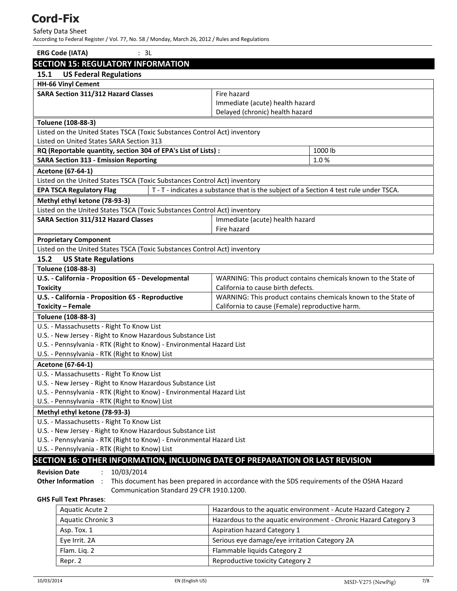Safety Data Sheet

According to Federal Register / Vol. 77, No. 58 / Monday, March 26, 2012 / Rules and Regulations

| <b>ERG Code (IATA)</b><br>: 3L                                                                                                         |                                                                                                                                     |                                                                                        |  |
|----------------------------------------------------------------------------------------------------------------------------------------|-------------------------------------------------------------------------------------------------------------------------------------|----------------------------------------------------------------------------------------|--|
|                                                                                                                                        | <b>SECTION 15: REGULATORY INFORMATION</b>                                                                                           |                                                                                        |  |
| 15.1                                                                                                                                   | <b>US Federal Regulations</b>                                                                                                       |                                                                                        |  |
|                                                                                                                                        | <b>HH-66 Vinyl Cement</b>                                                                                                           |                                                                                        |  |
|                                                                                                                                        | SARA Section 311/312 Hazard Classes                                                                                                 | Fire hazard                                                                            |  |
|                                                                                                                                        |                                                                                                                                     | Immediate (acute) health hazard                                                        |  |
|                                                                                                                                        |                                                                                                                                     | Delayed (chronic) health hazard                                                        |  |
|                                                                                                                                        | Toluene (108-88-3)                                                                                                                  |                                                                                        |  |
|                                                                                                                                        | Listed on the United States TSCA (Toxic Substances Control Act) inventory                                                           |                                                                                        |  |
|                                                                                                                                        | Listed on United States SARA Section 313                                                                                            |                                                                                        |  |
|                                                                                                                                        | RQ (Reportable quantity, section 304 of EPA's List of Lists) :                                                                      | 1000 lb                                                                                |  |
|                                                                                                                                        | <b>SARA Section 313 - Emission Reporting</b>                                                                                        | 1.0%                                                                                   |  |
|                                                                                                                                        | Acetone (67-64-1)                                                                                                                   |                                                                                        |  |
|                                                                                                                                        | Listed on the United States TSCA (Toxic Substances Control Act) inventory                                                           |                                                                                        |  |
|                                                                                                                                        | <b>EPA TSCA Regulatory Flag</b>                                                                                                     | T - T - indicates a substance that is the subject of a Section 4 test rule under TSCA. |  |
|                                                                                                                                        | Methyl ethyl ketone (78-93-3)                                                                                                       |                                                                                        |  |
|                                                                                                                                        | Listed on the United States TSCA (Toxic Substances Control Act) inventory                                                           |                                                                                        |  |
|                                                                                                                                        | <b>SARA Section 311/312 Hazard Classes</b>                                                                                          | Immediate (acute) health hazard                                                        |  |
|                                                                                                                                        |                                                                                                                                     | Fire hazard                                                                            |  |
|                                                                                                                                        | <b>Proprietary Component</b>                                                                                                        |                                                                                        |  |
|                                                                                                                                        | Listed on the United States TSCA (Toxic Substances Control Act) inventory                                                           |                                                                                        |  |
| 15.2                                                                                                                                   | <b>US State Regulations</b>                                                                                                         |                                                                                        |  |
|                                                                                                                                        | Toluene (108-88-3)                                                                                                                  |                                                                                        |  |
|                                                                                                                                        | U.S. - California - Proposition 65 - Developmental                                                                                  | WARNING: This product contains chemicals known to the State of                         |  |
| <b>Toxicity</b>                                                                                                                        |                                                                                                                                     | California to cause birth defects.                                                     |  |
|                                                                                                                                        | U.S. - California - Proposition 65 - Reproductive                                                                                   | WARNING: This product contains chemicals known to the State of                         |  |
| <b>Toxicity - Female</b>                                                                                                               |                                                                                                                                     | California to cause (Female) reproductive harm.                                        |  |
|                                                                                                                                        | Toluene (108-88-3)                                                                                                                  |                                                                                        |  |
|                                                                                                                                        | U.S. - Massachusetts - Right To Know List                                                                                           |                                                                                        |  |
|                                                                                                                                        | U.S. - New Jersey - Right to Know Hazardous Substance List                                                                          |                                                                                        |  |
|                                                                                                                                        | U.S. - Pennsylvania - RTK (Right to Know) - Environmental Hazard List                                                               |                                                                                        |  |
|                                                                                                                                        | U.S. - Pennsylvania - RTK (Right to Know) List                                                                                      |                                                                                        |  |
|                                                                                                                                        | Acetone (67-64-1)                                                                                                                   |                                                                                        |  |
|                                                                                                                                        | U.S. - Massachusetts - Right To Know List                                                                                           |                                                                                        |  |
|                                                                                                                                        | U.S. - New Jersey - Right to Know Hazardous Substance List<br>U.S. - Pennsylvania - RTK (Right to Know) - Environmental Hazard List |                                                                                        |  |
|                                                                                                                                        | U.S. - Pennsylvania - RTK (Right to Know) List                                                                                      |                                                                                        |  |
|                                                                                                                                        | Methyl ethyl ketone (78-93-3)                                                                                                       |                                                                                        |  |
|                                                                                                                                        |                                                                                                                                     |                                                                                        |  |
|                                                                                                                                        | U.S. - Massachusetts - Right To Know List<br>U.S. - New Jersey - Right to Know Hazardous Substance List                             |                                                                                        |  |
|                                                                                                                                        | U.S. - Pennsylvania - RTK (Right to Know) - Environmental Hazard List                                                               |                                                                                        |  |
|                                                                                                                                        | U.S. - Pennsylvania - RTK (Right to Know) List                                                                                      |                                                                                        |  |
|                                                                                                                                        |                                                                                                                                     | SECTION 16: OTHER INFORMATION, INCLUDING DATE OF PREPARATION OR LAST REVISION          |  |
|                                                                                                                                        |                                                                                                                                     |                                                                                        |  |
| <b>Revision Date</b><br>10/03/2014<br>Other Information :                                                                              |                                                                                                                                     |                                                                                        |  |
| This document has been prepared in accordance with the SDS requirements of the OSHA Hazard<br>Communication Standard 29 CFR 1910.1200. |                                                                                                                                     |                                                                                        |  |
|                                                                                                                                        | <b>GHS Full Text Phrases:</b>                                                                                                       |                                                                                        |  |
|                                                                                                                                        | <b>Aquatic Acute 2</b>                                                                                                              | Hazardous to the aquatic environment - Acute Hazard Category 2                         |  |
|                                                                                                                                        | <b>Aquatic Chronic 3</b>                                                                                                            | Hazardous to the aquatic environment - Chronic Hazard Category 3                       |  |
|                                                                                                                                        | Asp. Tox. 1                                                                                                                         | Aspiration hazard Category 1                                                           |  |
|                                                                                                                                        | Eye Irrit. 2A                                                                                                                       | Serious eye damage/eye irritation Category 2A                                          |  |
|                                                                                                                                        |                                                                                                                                     |                                                                                        |  |

Flam. Liq. 2 Flammable liquids Category 2 Repr. 2 Reproductive toxicity Category 2